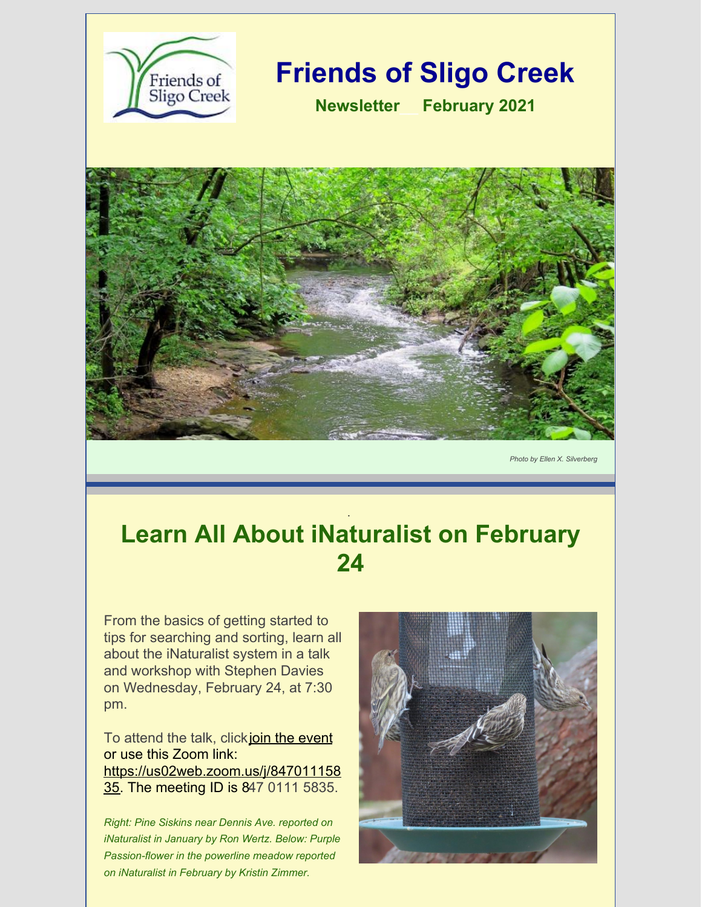

*Photo by Ellen X. Silverberg*

## **Learn All About iNaturalist on February 24**

.

From the basics of getting started to tips for searching and sorting, learn all about the iNaturalist system in a talk and workshop with Stephen Davies on Wednesday, February 24, at 7:30 pm.

To attend the talk, clickjoin the [event](https://us02web.zoom.us/j/84701115835) or use this Zoom link: [https://us02web.zoom.us/j/847011158](https://us02web.zoom.us/j/84701115835) 35. The meeting ID is 847 0111 5835.

*Right: Pine Siskins near Dennis Ave. reported on iNaturalist in January by Ron Wertz. Below: Purple Passion-flower in the powerline meadow reported on iNaturalist in February by Kristin Zimmer.*

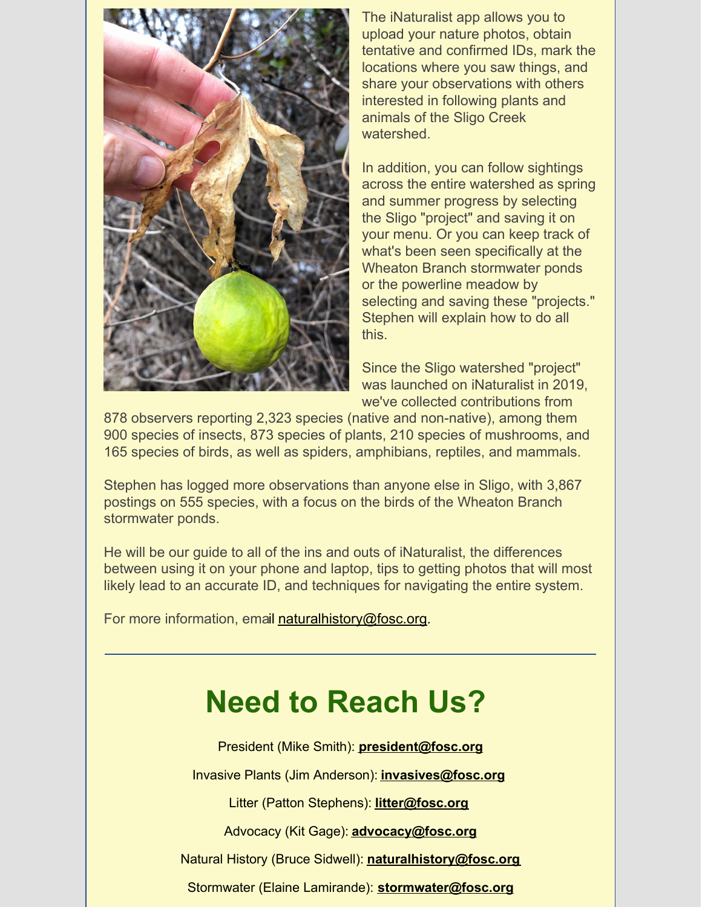

The iNaturalist app allows you to upload your nature photos, obtain tentative and confirmed IDs, mark the locations where you saw things, and share your observations with others interested in following plants and animals of the Sligo Creek watershed.

In addition, you can follow sightings across the entire watershed as spring and summer progress by selecting the Sligo "project" and saving it on your menu. Or you can keep track of what's been seen specifically at the Wheaton Branch stormwater ponds or the powerline meadow by selecting and saving these "projects." Stephen will explain how to do all this.

Since the Sligo watershed "project" was launched on iNaturalist in 2019, we've collected contributions from

878 observers reporting 2,323 species (native and non-native), among them 900 species of insects, 873 species of plants, 210 species of mushrooms, and 165 species of birds, as well as spiders, amphibians, reptiles, and mammals.

Stephen has logged more observations than anyone else in Sligo, with 3,867 postings on 555 species, with a focus on the birds of the Wheaton Branch stormwater ponds.

He will be our guide to all of the ins and outs of iNaturalist, the differences between using it on your phone and laptop, tips to getting photos that will most likely lead to an accurate ID, and techniques for navigating the entire system.

For more information, email [naturalhistory@fosc.org](mailto:naturalhistory@fosc.org).

## **Need to Reach Us?**

President (Mike Smith): **[president@fosc.org](mailto:president@fosc.org)**

Invasive Plants (Jim Anderson): **[invasives@fosc.org](mailto:invasives@fosc.org)**

Litter (Patton Stephens): **[litter@fosc.org](mailto:litter@fosc.org)**

Advocacy (Kit Gage): **[advocacy@fosc.org](mailto:advocacy@fosc.org)**

Natural History (Bruce Sidwell): **[naturalhistory@fosc.org](mailto:naturalhistory@fosc.org)**

Stormwater (Elaine Lamirande): **[stormwater@fosc.org](mailto:stormwater@fosc.org)**